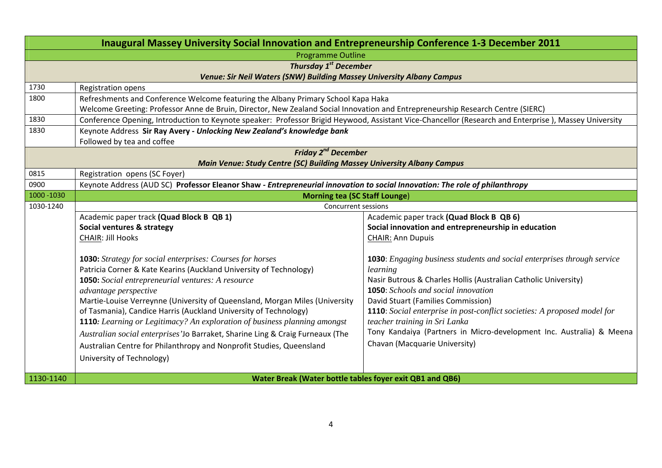| Inaugural Massey University Social Innovation and Entrepreneurship Conference 1-3 December 2011 |                                                                                                                                                       |                                                                                 |  |  |  |
|-------------------------------------------------------------------------------------------------|-------------------------------------------------------------------------------------------------------------------------------------------------------|---------------------------------------------------------------------------------|--|--|--|
| <b>Programme Outline</b>                                                                        |                                                                                                                                                       |                                                                                 |  |  |  |
| <b>Thursday 1st December</b>                                                                    |                                                                                                                                                       |                                                                                 |  |  |  |
| Venue: Sir Neil Waters (SNW) Building Massey University Albany Campus                           |                                                                                                                                                       |                                                                                 |  |  |  |
| 1730                                                                                            | Registration opens                                                                                                                                    |                                                                                 |  |  |  |
| 1800                                                                                            | Refreshments and Conference Welcome featuring the Albany Primary School Kapa Haka                                                                     |                                                                                 |  |  |  |
|                                                                                                 | Welcome Greeting: Professor Anne de Bruin, Director, New Zealand Social Innovation and Entrepreneurship Research Centre (SIERC)                       |                                                                                 |  |  |  |
| 1830                                                                                            | Conference Opening, Introduction to Keynote speaker: Professor Brigid Heywood, Assistant Vice-Chancellor (Research and Enterprise), Massey University |                                                                                 |  |  |  |
| 1830                                                                                            | Keynote Address Sir Ray Avery - Unlocking New Zealand's knowledge bank                                                                                |                                                                                 |  |  |  |
|                                                                                                 | Followed by tea and coffee                                                                                                                            |                                                                                 |  |  |  |
| <b>Friday 2<sup>nd</sup> December</b>                                                           |                                                                                                                                                       |                                                                                 |  |  |  |
| 0815                                                                                            | Main Venue: Study Centre (SC) Building Massey University Albany Campus                                                                                |                                                                                 |  |  |  |
| 0900                                                                                            | Registration opens (SC Foyer)                                                                                                                         |                                                                                 |  |  |  |
| 1000 - 1030                                                                                     | Keynote Address (AUD SC) Professor Eleanor Shaw - Entrepreneurial innovation to social Innovation: The role of philanthropy                           |                                                                                 |  |  |  |
| 1030-1240                                                                                       | <b>Morning tea (SC Staff Lounge)</b><br><b>Concurrent sessions</b>                                                                                    |                                                                                 |  |  |  |
|                                                                                                 | Academic paper track (Quad Block B QB 1)                                                                                                              | Academic paper track (Quad Block B QB 6)                                        |  |  |  |
|                                                                                                 | Social ventures & strategy                                                                                                                            | Social innovation and entrepreneurship in education                             |  |  |  |
|                                                                                                 | <b>CHAIR: Jill Hooks</b>                                                                                                                              | <b>CHAIR: Ann Dupuis</b>                                                        |  |  |  |
|                                                                                                 |                                                                                                                                                       |                                                                                 |  |  |  |
|                                                                                                 | <b>1030:</b> Strategy for social enterprises: Courses for horses                                                                                      | <b>1030</b> : Engaging business students and social enterprises through service |  |  |  |
|                                                                                                 | Patricia Corner & Kate Kearins (Auckland University of Technology)                                                                                    | learning                                                                        |  |  |  |
|                                                                                                 | 1050: Social entrepreneurial ventures: A resource                                                                                                     | Nasir Butrous & Charles Hollis (Australian Catholic University)                 |  |  |  |
|                                                                                                 | advantage perspective                                                                                                                                 | <b>1050:</b> Schools and social innovation                                      |  |  |  |
|                                                                                                 | Martie-Louise Verreynne (University of Queensland, Morgan Miles (University                                                                           | David Stuart (Families Commission)                                              |  |  |  |
|                                                                                                 | of Tasmania), Candice Harris (Auckland University of Technology)                                                                                      | 1110: Social enterprise in post-conflict societies: A proposed model for        |  |  |  |
|                                                                                                 | 1110: Learning or Legitimacy? An exploration of business planning amongst                                                                             | teacher training in Sri Lanka                                                   |  |  |  |
|                                                                                                 | Australian social enterprises'Jo Barraket, Sharine Ling & Craig Furneaux (The                                                                         | Tony Kandaiya (Partners in Micro-development Inc. Australia) & Meena            |  |  |  |
|                                                                                                 | Australian Centre for Philanthropy and Nonprofit Studies, Queensland                                                                                  | Chavan (Macquarie University)                                                   |  |  |  |
|                                                                                                 | University of Technology)                                                                                                                             |                                                                                 |  |  |  |
|                                                                                                 |                                                                                                                                                       |                                                                                 |  |  |  |
| 1130-1140                                                                                       | Water Break (Water bottle tables foyer exit QB1 and QB6)                                                                                              |                                                                                 |  |  |  |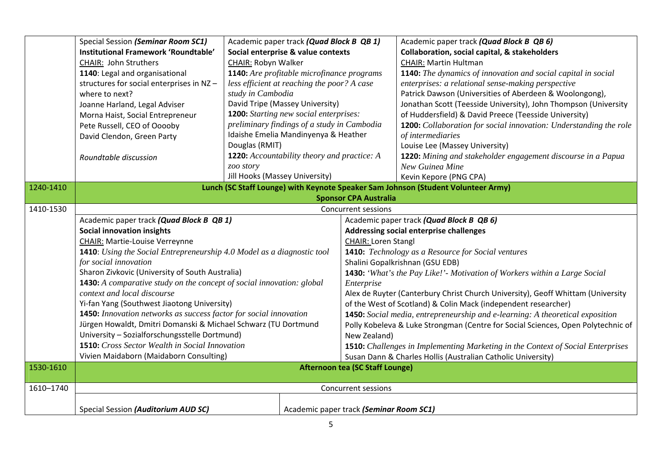|           | Special Session (Seminar Room SC1)                                                                                                                                                                                                                                          | Academic paper track (Quad Block B QB 1)                                          |  |                                                                                 | Academic paper track (Quad Block B QB 6)                                               |
|-----------|-----------------------------------------------------------------------------------------------------------------------------------------------------------------------------------------------------------------------------------------------------------------------------|-----------------------------------------------------------------------------------|--|---------------------------------------------------------------------------------|----------------------------------------------------------------------------------------|
|           | Institutional Framework 'Roundtable'                                                                                                                                                                                                                                        | Social enterprise & value contexts                                                |  |                                                                                 | <b>Collaboration, social capital, &amp; stakeholders</b>                               |
|           | <b>CHAIR: John Struthers</b>                                                                                                                                                                                                                                                | CHAIR: Robyn Walker                                                               |  |                                                                                 | <b>CHAIR: Martin Hultman</b>                                                           |
|           | 1140: Legal and organisational                                                                                                                                                                                                                                              | 1140: Are profitable microfinance programs                                        |  |                                                                                 | <b>1140:</b> The dynamics of innovation and social capital in social                   |
|           | structures for social enterprises in NZ-                                                                                                                                                                                                                                    | less efficient at reaching the poor? A case                                       |  |                                                                                 | enterprises: a relational sense-making perspective                                     |
|           | where to next?                                                                                                                                                                                                                                                              | study in Cambodia                                                                 |  |                                                                                 | Patrick Dawson (Universities of Aberdeen & Woolongong),                                |
|           | Joanne Harland, Legal Adviser                                                                                                                                                                                                                                               | David Tripe (Massey University)                                                   |  |                                                                                 | Jonathan Scott (Teesside University), John Thompson (University                        |
|           | Morna Haist, Social Entrepreneur                                                                                                                                                                                                                                            | <b>1200:</b> Starting new social enterprises:                                     |  |                                                                                 | of Huddersfield) & David Preece (Teesside University)                                  |
|           | Pete Russell, CEO of Ooooby                                                                                                                                                                                                                                                 | preliminary findings of a study in Cambodia                                       |  |                                                                                 | <b>1200:</b> Collaboration for social innovation: Understanding the role               |
|           | David Clendon, Green Party                                                                                                                                                                                                                                                  | Idaishe Emelia Mandinyenya & Heather                                              |  |                                                                                 | of intermediaries                                                                      |
|           |                                                                                                                                                                                                                                                                             | Douglas (RMIT)                                                                    |  |                                                                                 | Louise Lee (Massey University)                                                         |
|           | Roundtable discussion                                                                                                                                                                                                                                                       | <b>1220:</b> Accountability theory and practice: A                                |  |                                                                                 | 1220: Mining and stakeholder engagement discourse in a Papua                           |
|           |                                                                                                                                                                                                                                                                             | zoo story                                                                         |  |                                                                                 | New Guinea Mine                                                                        |
|           |                                                                                                                                                                                                                                                                             | Jill Hooks (Massey University)                                                    |  |                                                                                 | Kevin Kepore (PNG CPA)                                                                 |
| 1240-1410 |                                                                                                                                                                                                                                                                             | Lunch (SC Staff Lounge) with Keynote Speaker Sam Johnson (Student Volunteer Army) |  |                                                                                 |                                                                                        |
|           | <b>Sponsor CPA Australia</b>                                                                                                                                                                                                                                                |                                                                                   |  |                                                                                 |                                                                                        |
| 1410-1530 | <b>Concurrent sessions</b>                                                                                                                                                                                                                                                  |                                                                                   |  |                                                                                 |                                                                                        |
|           | Academic paper track (Quad Block B QB 1)                                                                                                                                                                                                                                    |                                                                                   |  | Academic paper track (Quad Block B QB 6)                                        |                                                                                        |
|           | <b>Social innovation insights</b><br><b>CHAIR: Martie-Louise Verreynne</b><br><b>1410</b> : Using the Social Entrepreneurship 4.0 Model as a diagnostic tool                                                                                                                |                                                                                   |  | Addressing social enterprise challenges                                         |                                                                                        |
|           |                                                                                                                                                                                                                                                                             |                                                                                   |  | <b>CHAIR: Loren Stangl</b>                                                      |                                                                                        |
|           |                                                                                                                                                                                                                                                                             |                                                                                   |  |                                                                                 | <b>1410:</b> Technology as a Resource for Social ventures                              |
|           | for social innovation                                                                                                                                                                                                                                                       |                                                                                   |  |                                                                                 | Shalini Gopalkrishnan (GSU EDB)                                                        |
|           | Sharon Zivkovic (University of South Australia)<br>1430: A comparative study on the concept of social innovation: global<br>context and local discourse<br>Yi-fan Yang (Southwest Jiaotong University)<br>1450: Innovation networks as success factor for social innovation |                                                                                   |  |                                                                                 | 1430: 'What's the Pay Like!'- Motivation of Workers within a Large Social              |
|           |                                                                                                                                                                                                                                                                             |                                                                                   |  | Enterprise                                                                      |                                                                                        |
|           |                                                                                                                                                                                                                                                                             |                                                                                   |  | Alex de Ruyter (Canterbury Christ Church University), Geoff Whittam (University |                                                                                        |
|           |                                                                                                                                                                                                                                                                             |                                                                                   |  |                                                                                 | of the West of Scotland) & Colin Mack (independent researcher)                         |
|           |                                                                                                                                                                                                                                                                             |                                                                                   |  | 1450: Social media, entrepreneurship and e-learning: A theoretical exposition   |                                                                                        |
|           | Jürgen Howaldt, Dmitri Domanski & Michael Schwarz (TU Dortmund                                                                                                                                                                                                              |                                                                                   |  |                                                                                 | Polly Kobeleva & Luke Strongman (Centre for Social Sciences, Open Polytechnic of       |
|           | University - Sozialforschungsstelle Dortmund)                                                                                                                                                                                                                               |                                                                                   |  | New Zealand)                                                                    |                                                                                        |
|           | <b>1510:</b> Cross Sector Wealth in Social Innovation                                                                                                                                                                                                                       |                                                                                   |  |                                                                                 | <b>1510:</b> Challenges in Implementing Marketing in the Context of Social Enterprises |
|           | Vivien Maidaborn (Maidaborn Consulting)                                                                                                                                                                                                                                     |                                                                                   |  |                                                                                 | Susan Dann & Charles Hollis (Australian Catholic University)                           |
| 1530-1610 | <b>Afternoon tea (SC Staff Lounge)</b>                                                                                                                                                                                                                                      |                                                                                   |  |                                                                                 |                                                                                        |
|           |                                                                                                                                                                                                                                                                             |                                                                                   |  |                                                                                 |                                                                                        |
| 1610-1740 | <b>Concurrent sessions</b>                                                                                                                                                                                                                                                  |                                                                                   |  |                                                                                 |                                                                                        |
|           | Special Session (Auditorium AUD SC)                                                                                                                                                                                                                                         |                                                                                   |  | Academic paper track (Seminar Room SC1)                                         |                                                                                        |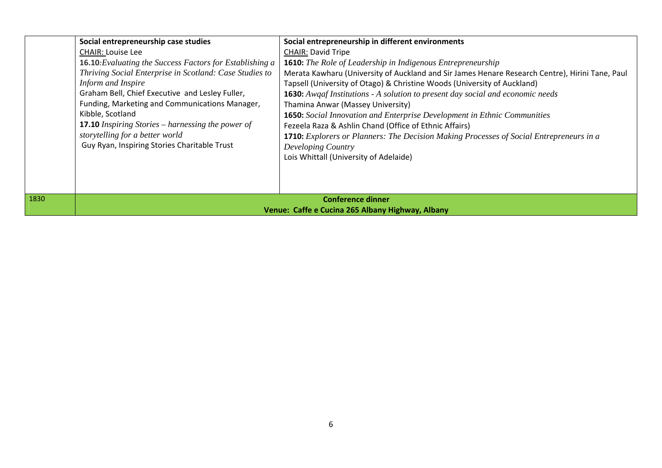|      | Social entrepreneurship case studies                                                                                                                                                                                                                                                                                                                                                                                     | Social entrepreneurship in different environments                                                                                                                                                                                                                                                                                                                                                                                                                                                                                                                                                                                                                                              |  |
|------|--------------------------------------------------------------------------------------------------------------------------------------------------------------------------------------------------------------------------------------------------------------------------------------------------------------------------------------------------------------------------------------------------------------------------|------------------------------------------------------------------------------------------------------------------------------------------------------------------------------------------------------------------------------------------------------------------------------------------------------------------------------------------------------------------------------------------------------------------------------------------------------------------------------------------------------------------------------------------------------------------------------------------------------------------------------------------------------------------------------------------------|--|
|      | <b>CHAIR: Louise Lee</b>                                                                                                                                                                                                                                                                                                                                                                                                 | <b>CHAIR: David Tripe</b>                                                                                                                                                                                                                                                                                                                                                                                                                                                                                                                                                                                                                                                                      |  |
|      | <b>16.10:</b> Evaluating the Success Factors for Establishing a<br>Thriving Social Enterprise in Scotland: Case Studies to<br>Inform and Inspire<br>Graham Bell, Chief Executive and Lesley Fuller,<br>Funding, Marketing and Communications Manager,<br>Kibble, Scotland<br><b>17.10</b> Inspiring Stories – harnessing the power of<br>storytelling for a better world<br>Guy Ryan, Inspiring Stories Charitable Trust | <b>1610:</b> The Role of Leadership in Indigenous Entrepreneurship<br>Merata Kawharu (University of Auckland and Sir James Henare Research Centre), Hirini Tane, Paul<br>Tapsell (University of Otago) & Christine Woods (University of Auckland)<br><b>1630:</b> Awgaf Institutions - A solution to present day social and economic needs<br>Thamina Anwar (Massey University)<br><b>1650:</b> Social Innovation and Enterprise Development in Ethnic Communities<br>Fezeela Raza & Ashlin Chand (Office of Ethnic Affairs)<br><b>1710:</b> Explorers or Planners: The Decision Making Processes of Social Entrepreneurs in a<br>Developing Country<br>Lois Whittall (University of Adelaide) |  |
|      |                                                                                                                                                                                                                                                                                                                                                                                                                          |                                                                                                                                                                                                                                                                                                                                                                                                                                                                                                                                                                                                                                                                                                |  |
| 1830 | <b>Conference dinner</b>                                                                                                                                                                                                                                                                                                                                                                                                 |                                                                                                                                                                                                                                                                                                                                                                                                                                                                                                                                                                                                                                                                                                |  |
|      | Venue: Caffe e Cucina 265 Albany Highway, Albany                                                                                                                                                                                                                                                                                                                                                                         |                                                                                                                                                                                                                                                                                                                                                                                                                                                                                                                                                                                                                                                                                                |  |